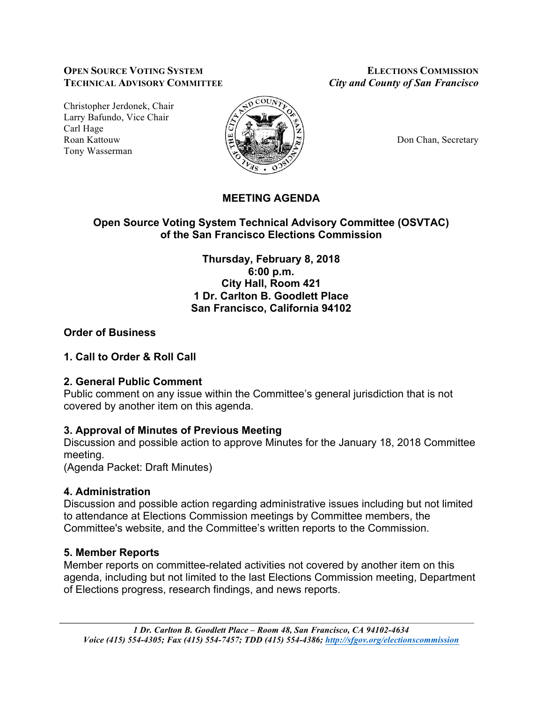#### **OPEN SOURCE VOTING SYSTEM ELECTIONS COMMISSION TECHNICAL ADVISORY COMMITTEE** *City and County of San Francisco*

Christopher Jerdonek, Chair Larry Bafundo, Vice Chair Carl Hage Roan Kattouw  $\Big|\frac{\mu}{\mu}\Big|_{\infty}$   $\Big|\frac{\mu}{\mu}\Big|_{\infty}$   $\Big|\frac{\mu}{\mu}\Big|_{\infty}$  Don Chan, Secretary Tony Wasserman



# **MEETING AGENDA**

# **Open Source Voting System Technical Advisory Committee (OSVTAC) of the San Francisco Elections Commission**

**Thursday, February 8, 2018 6:00 p.m. City Hall, Room 421 1 Dr. Carlton B. Goodlett Place San Francisco, California 94102**

# **Order of Business**

### **1. Call to Order & Roll Call**

#### **2. General Public Comment**

Public comment on any issue within the Committee's general jurisdiction that is not covered by another item on this agenda.

# **3. Approval of Minutes of Previous Meeting**

Discussion and possible action to approve Minutes for the January 18, 2018 Committee meeting.

(Agenda Packet: Draft Minutes)

#### **4. Administration**

Discussion and possible action regarding administrative issues including but not limited to attendance at Elections Commission meetings by Committee members, the Committee's website, and the Committee's written reports to the Commission.

#### **5. Member Reports**

Member reports on committee-related activities not covered by another item on this agenda, including but not limited to the last Elections Commission meeting, Department of Elections progress, research findings, and news reports.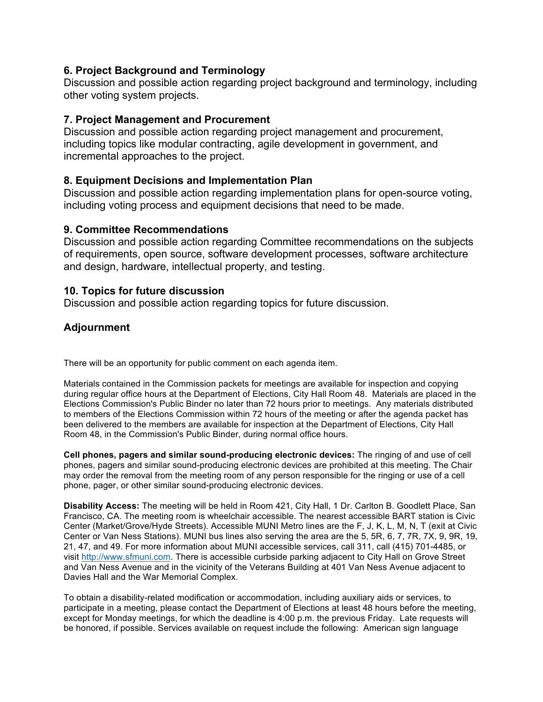### **6. Project Background and Terminology**

Discussion and possible action regarding project background and terminology, including other voting system projects.

### **7. Project Management and Procurement**

Discussion and possible action regarding project management and procurement, including topics like modular contracting, agile development in government, and incremental approaches to the project.

### **8. Equipment Decisions and Implementation Plan**

Discussion and possible action regarding implementation plans for open-source voting, including voting process and equipment decisions that need to be made.

#### **9. Committee Recommendations**

Discussion and possible action regarding Committee recommendations on the subjects of requirements, open source, software development processes, software architecture and design, hardware, intellectual property, and testing.

#### **10. Topics for future discussion**

Discussion and possible action regarding topics for future discussion.

### **Adjournment**

There will be an opportunity for public comment on each agenda item.

Materials contained in the Commission packets for meetings are available for inspection and copying during regular office hours at the Department of Elections, City Hall Room 48. Materials are placed in the Elections Commission's Public Binder no later than 72 hours prior to meetings. Any materials distributed to members of the Elections Commission within 72 hours of the meeting or after the agenda packet has been delivered to the members are available for inspection at the Department of Elections, City Hall Room 48, in the Commission's Public Binder, during normal office hours.

**Cell phones, pagers and similar sound-producing electronic devices:** The ringing of and use of cell phones, pagers and similar sound-producing electronic devices are prohibited at this meeting. The Chair may order the removal from the meeting room of any person responsible for the ringing or use of a cell phone, pager, or other similar sound-producing electronic devices.

**Disability Access:** The meeting will be held in Room 421, City Hall, 1 Dr. Carlton B. Goodlett Place, San Francisco, CA. The meeting room is wheelchair accessible. The nearest accessible BART station is Civic Center (Market/Grove/Hyde Streets). Accessible MUNI Metro lines are the F, J, K, L, M, N, T (exit at Civic Center or Van Ness Stations). MUNI bus lines also serving the area are the 5, 5R, 6, 7, 7R, 7X, 9, 9R, 19, 21, 47, and 49. For more information about MUNI accessible services, call 311, call (415) 701-4485, or visit http://www.sfmuni.com. There is accessible curbside parking adjacent to City Hall on Grove Street and Van Ness Avenue and in the vicinity of the Veterans Building at 401 Van Ness Avenue adjacent to Davies Hall and the War Memorial Complex.

To obtain a disability-related modification or accommodation, including auxiliary aids or services, to participate in a meeting, please contact the Department of Elections at least 48 hours before the meeting, except for Monday meetings, for which the deadline is 4:00 p.m. the previous Friday. Late requests will be honored, if possible. Services available on request include the following: American sign language